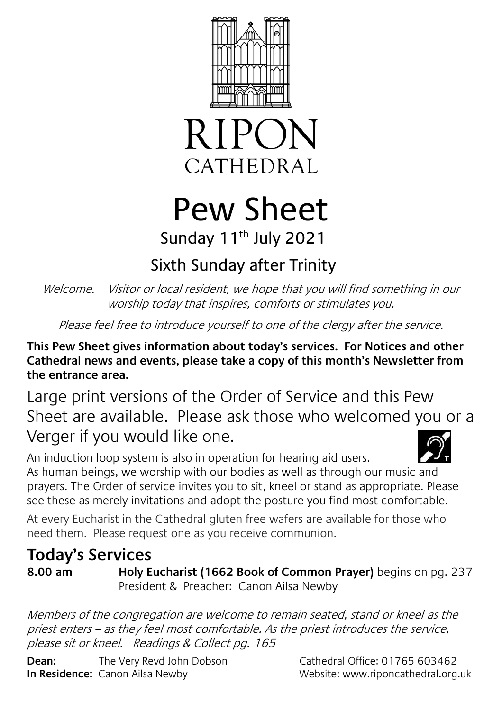



# Pew Sheet Sunday 11<sup>th</sup> July 2021

## Sixth Sunday after Trinity

Welcome. Visitor or local resident, we hope that you will find something in our worship today that inspires, comforts or stimulates you.

Please feel free to introduce yourself to one of the clergy after the service.

**This Pew Sheet gives information about today's services. For Notices and other Cathedral news and events, please take a copy of this month's Newsletter from the entrance area.** 

Large print versions of the Order of Service and this Pew Sheet are available. Please ask those who welcomed you or a Verger if you would like one.

An induction loop system is also in operation for hearing aid users. As human beings, we worship with our bodies as well as through our music and prayers. The Order of service invites you to sit, kneel or stand as appropriate. Please see these as merely invitations and adopt the posture you find most comfortable.

At every Eucharist in the Cathedral gluten free wafers are available for those who need them. Please request one as you receive communion.

### **Today's Services**

**8.00 am Holy Eucharist (1662 Book of Common Prayer)** begins on pg. 237 President & Preacher: Canon Ailsa Newby

Members of the congregation are welcome to remain seated, stand or kneel as the priest enters – as they feel most comfortable. As the priest introduces the service, please sit or kneel. Readings & Collect pg. 165

**Dean:** The Very Revd John Dobson Cathedral Office: 01765 603462 **In Residence:** Canon Ailsa Newby Website: www.riponcathedral.org.uk